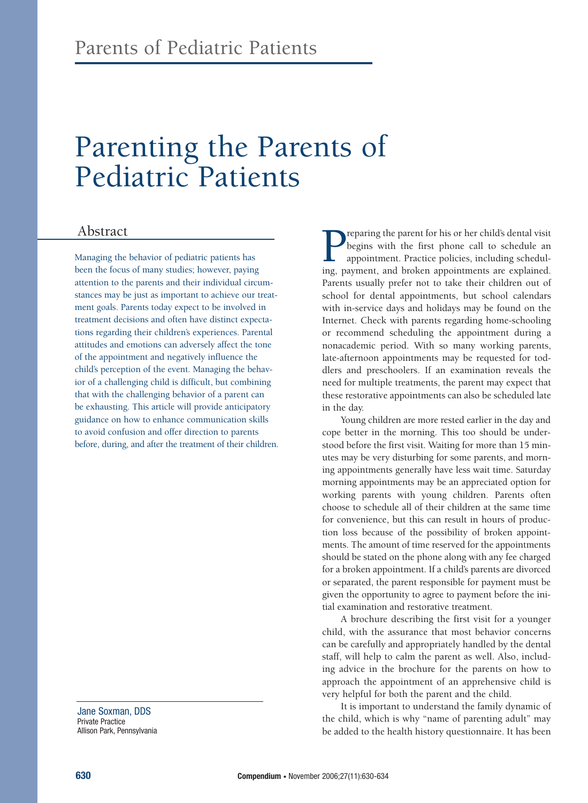# Parenting the Parents of Pediatric Patients

### Abstract

Managing the behavior of pediatric patients has been the focus of many studies; however, paying attention to the parents and their individual circumstances may be just as important to achieve our treatment goals. Parents today expect to be involved in treatment decisions and often have distinct expectations regarding their children's experiences. Parental attitudes and emotions can adversely affect the tone of the appointment and negatively influence the child's perception of the event. Managing the behavior of a challenging child is difficult, but combining that with the challenging behavior of a parent can be exhausting. This article will provide anticipatory guidance on how to enhance communication skills to avoid confusion and offer direction to parents before, during, and after the treatment of their children.

Jane Soxman, DDS Private Practice Allison Park, Pennsylvania

**P**reparing the parent for his or her child's dental visit<br>begins with the first phone call to schedule an<br>appointment. Practice policies, including schedul-<br>ing. payment. and broken appointments are explained. begins with the first phone call to schedule an appointment. Practice policies, including scheduling, payment, and broken appointments are explained. Parents usually prefer not to take their children out of school for dental appointments, but school calendars with in-service days and holidays may be found on the Internet. Check with parents regarding home-schooling or recommend scheduling the appointment during a nonacademic period. With so many working parents, late-afternoon appointments may be requested for toddlers and preschoolers. If an examination reveals the need for multiple treatments, the parent may expect that these restorative appointments can also be scheduled late in the day.

Young children are more rested earlier in the day and cope better in the morning. This too should be understood before the first visit. Waiting for more than 15 minutes may be very disturbing for some parents, and morning appointments generally have less wait time. Saturday morning appointments may be an appreciated option for working parents with young children. Parents often choose to schedule all of their children at the same time for convenience, but this can result in hours of production loss because of the possibility of broken appointments. The amount of time reserved for the appointments should be stated on the phone along with any fee charged for a broken appointment. If a child's parents are divorced or separated, the parent responsible for payment must be given the opportunity to agree to payment before the initial examination and restorative treatment.

A brochure describing the first visit for a younger child, with the assurance that most behavior concerns can be carefully and appropriately handled by the dental staff, will help to calm the parent as well. Also, including advice in the brochure for the parents on how to approach the appointment of an apprehensive child is very helpful for both the parent and the child.

It is important to understand the family dynamic of the child, which is why "name of parenting adult" may be added to the health history questionnaire. It has been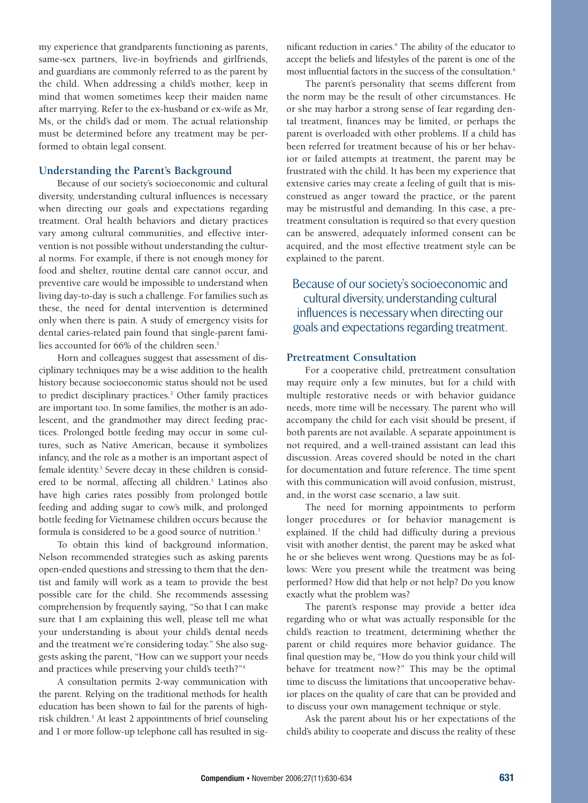my experience that grandparents functioning as parents, same-sex partners, live-in boyfriends and girlfriends, and guardians are commonly referred to as the parent by the child. When addressing a child's mother, keep in mind that women sometimes keep their maiden name after marrying. Refer to the ex-husband or ex-wife as Mr, Ms, or the child's dad or mom. The actual relationship must be determined before any treatment may be performed to obtain legal consent.

#### **Understanding the Parent's Background**

Because of our society's socioeconomic and cultural diversity, understanding cultural influences is necessary when directing our goals and expectations regarding treatment. Oral health behaviors and dietary practices vary among cultural communities, and effective intervention is not possible without understanding the cultural norms. For example, if there is not enough money for food and shelter, routine dental care cannot occur, and preventive care would be impossible to understand when living day-to-day is such a challenge. For families such as these, the need for dental intervention is determined only when there is pain. A study of emergency visits for dental caries-related pain found that single-parent families accounted for  $66%$  of the children seen.<sup>1</sup>

Horn and colleagues suggest that assessment of disciplinary techniques may be a wise addition to the health history because socioeconomic status should not be used to predict disciplinary practices.<sup>2</sup> Other family practices are important too. In some families, the mother is an adolescent, and the grandmother may direct feeding practices. Prolonged bottle feeding may occur in some cultures, such as Native American, because it symbolizes infancy, and the role as a mother is an important aspect of female identity. <sup>3</sup> Severe decay in these children is considered to be normal, affecting all children.<sup>3</sup> Latinos also have high caries rates possibly from prolonged bottle feeding and adding sugar to cow's milk, and prolonged bottle feeding for Vietnamese children occurs because the formula is considered to be a good source of nutrition.<sup>3</sup>

To obtain this kind of background information, Nelson recommended strategies such as asking parents open-ended questions and stressing to them that the dentist and family will work as a team to provide the best possible care for the child. She recommends assessing comprehension by frequently saying, "So that I can make sure that I am explaining this well, please tell me what your understanding is about your child's dental needs and the treatment we're considering today." She also suggests asking the parent, "How can we support your needs and practices while preserving your child's teeth?"4

A consultation permits 2-way communication with the parent. Relying on the traditional methods for health education has been shown to fail for the parents of highrisk children.<sup>5</sup> At least 2 appointments of brief counseling and 1 or more follow-up telephone call has resulted in significant reduction in caries.<sup>6</sup> The ability of the educator to accept the beliefs and lifestyles of the parent is one of the most influential factors in the success of the consultation.<sup>6</sup>

The parent's personality that seems different from the norm may be the result of other circumstances. He or she may harbor a strong sense of fear regarding dental treatment, finances may be limited, or perhaps the parent is overloaded with other problems. If a child has been referred for treatment because of his or her behavior or failed attempts at treatment, the parent may be frustrated with the child. It has been my experience that extensive caries may create a feeling of guilt that is misconstrued as anger toward the practice, or the parent may be mistrustful and demanding. In this case, a pretreatment consultation is required so that every question can be answered, adequately informed consent can be acquired, and the most effective treatment style can be explained to the parent.

Because of our society's socioeconomic and cultural diversity, understanding cultural influences is necessary when directing our goals and expectations regarding treatment.

#### **Pretreatment Consultation**

For a cooperative child, pretreatment consultation may require only a few minutes, but for a child with multiple restorative needs or with behavior guidance needs, more time will be necessary. The parent who will accompany the child for each visit should be present, if both parents are not available. A separate appointment is not required, and a well-trained assistant can lead this discussion. Areas covered should be noted in the chart for documentation and future reference. The time spent with this communication will avoid confusion, mistrust, and, in the worst case scenario, a law suit.

The need for morning appointments to perform longer procedures or for behavior management is explained. If the child had difficulty during a previous visit with another dentist, the parent may be asked what he or she believes went wrong. Questions may be as follows: Were you present while the treatment was being performed? How did that help or not help? Do you know exactly what the problem was?

The parent's response may provide a better idea regarding who or what was actually responsible for the child's reaction to treatment, determining whether the parent or child requires more behavior guidance. The final question may be, "How do you think your child will behave for treatment now?" This may be the optimal time to discuss the limitations that uncooperative behavior places on the quality of care that can be provided and to discuss your own management technique or style.

Ask the parent about his or her expectations of the child's ability to cooperate and discuss the reality of these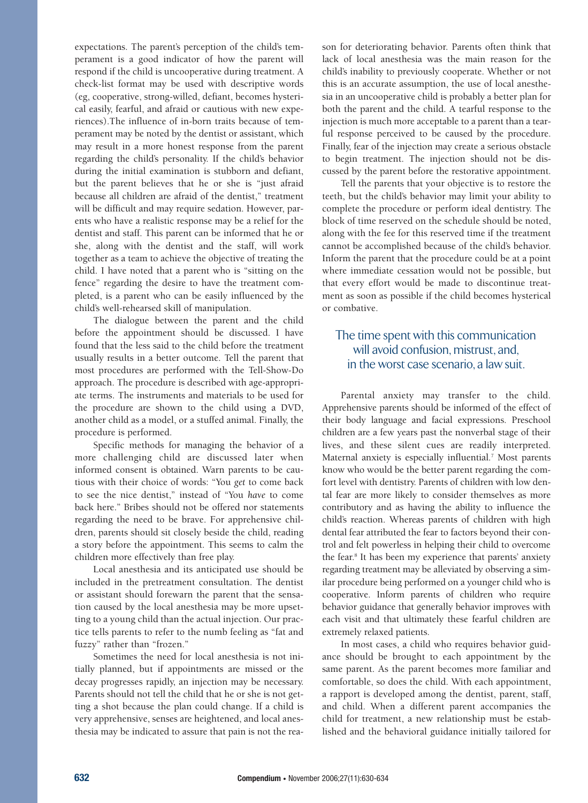expectations. The parent's perception of the child's temperament is a good indicator of how the parent will respond if the child is uncooperative during treatment. A check-list format may be used with descriptive words (eg, cooperative, strong-willed, defiant, becomes hysterical easily, fearful, and afraid or cautious with new experiences).The influence of in-born traits because of temperament may be noted by the dentist or assistant, which may result in a more honest response from the parent regarding the child's personality. If the child's behavior during the initial examination is stubborn and defiant, but the parent believes that he or she is "just afraid because all children are afraid of the dentist," treatment will be difficult and may require sedation. However, parents who have a realistic response may be a relief for the dentist and staff. This parent can be informed that he or she, along with the dentist and the staff, will work together as a team to achieve the objective of treating the child. I have noted that a parent who is "sitting on the fence" regarding the desire to have the treatment completed, is a parent who can be easily influenced by the child's well-rehearsed skill of manipulation.

The dialogue between the parent and the child before the appointment should be discussed. I have found that the less said to the child before the treatment usually results in a better outcome. Tell the parent that most procedures are performed with the Tell-Show-Do approach. The procedure is described with age-appropriate terms. The instruments and materials to be used for the procedure are shown to the child using a DVD, another child as a model, or a stuffed animal. Finally, the procedure is performed.

Specific methods for managing the behavior of a more challenging child are discussed later when informed consent is obtained. Warn parents to be cautious with their choice of words: "You *get* to come back to see the nice dentist," instead of "You *have* to come back here." Bribes should not be offered nor statements regarding the need to be brave. For apprehensive children, parents should sit closely beside the child, reading a story before the appointment. This seems to calm the children more effectively than free play.

Local anesthesia and its anticipated use should be included in the pretreatment consultation. The dentist or assistant should forewarn the parent that the sensation caused by the local anesthesia may be more upsetting to a young child than the actual injection. Our practice tells parents to refer to the numb feeling as "fat and fuzzy" rather than "frozen."

Sometimes the need for local anesthesia is not initially planned, but if appointments are missed or the decay progresses rapidly, an injection may be necessary. Parents should not tell the child that he or she is not getting a shot because the plan could change. If a child is very apprehensive, senses are heightened, and local anesthesia may be indicated to assure that pain is not the reason for deteriorating behavior. Parents often think that lack of local anesthesia was the main reason for the child's inability to previously cooperate. Whether or not this is an accurate assumption, the use of local anesthesia in an uncooperative child is probably a better plan for both the parent and the child. A tearful response to the injection is much more acceptable to a parent than a tearful response perceived to be caused by the procedure. Finally, fear of the injection may create a serious obstacle to begin treatment. The injection should not be discussed by the parent before the restorative appointment.

Tell the parents that your objective is to restore the teeth, but the child's behavior may limit your ability to complete the procedure or perform ideal dentistry. The block of time reserved on the schedule should be noted, along with the fee for this reserved time if the treatment cannot be accomplished because of the child's behavior. Inform the parent that the procedure could be at a point where immediate cessation would not be possible, but that every effort would be made to discontinue treatment as soon as possible if the child becomes hysterical or combative.

## The time spent with this communication will avoid confusion, mistrust, and, in the worst case scenario, a law suit.

Parental anxiety may transfer to the child. Apprehensive parents should be informed of the effect of their body language and facial expressions. Preschool children are a few years past the nonverbal stage of their lives, and these silent cues are readily interpreted. Maternal anxiety is especially influential.<sup>7</sup> Most parents know who would be the better parent regarding the comfort level with dentistry. Parents of children with low dental fear are more likely to consider themselves as more contributory and as having the ability to influence the child's reaction. Whereas parents of children with high dental fear attributed the fear to factors beyond their control and felt powerless in helping their child to overcome the fear.8 It has been my experience that parents' anxiety regarding treatment may be alleviated by observing a similar procedure being performed on a younger child who is cooperative. Inform parents of children who require behavior guidance that generally behavior improves with each visit and that ultimately these fearful children are extremely relaxed patients.

In most cases, a child who requires behavior guidance should be brought to each appointment by the same parent. As the parent becomes more familiar and comfortable, so does the child. With each appointment, a rapport is developed among the dentist, parent, staff, and child. When a different parent accompanies the child for treatment, a new relationship must be established and the behavioral guidance initially tailored for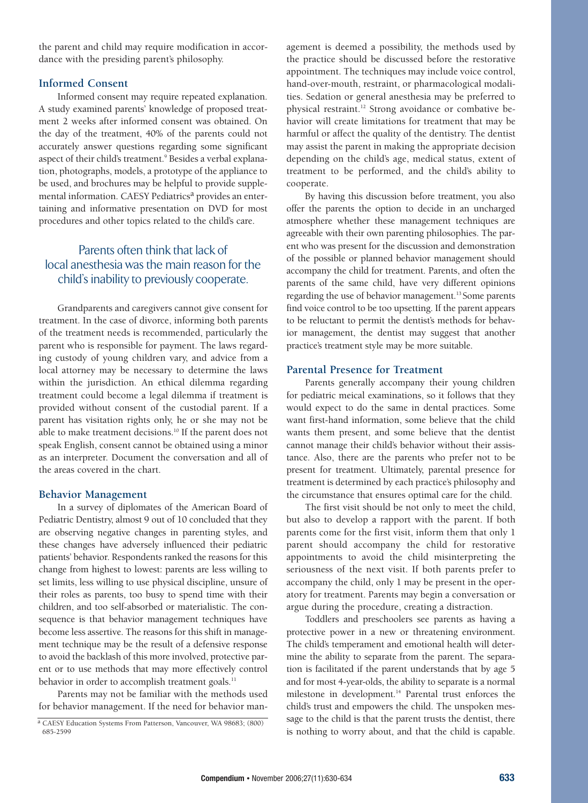the parent and child may require modification in accordance with the presiding parent's philosophy.

#### **Informed Consent**

Informed consent may require repeated explanation. A study examined parents' knowledge of proposed treatment 2 weeks after informed consent was obtained. On the day of the treatment, 40% of the parents could not accurately answer questions regarding some significant aspect of their child's treatment.<sup>9</sup> Besides a verbal explanation, photographs, models, a prototype of the appliance to be used, and brochures may be helpful to provide supplemental information. CAESY Pediatrics<sup>a</sup> provides an entertaining and informative presentation on DVD for most procedures and other topics related to the child's care.

## Parents often think that lack of local anesthesia was the main reason for the child's inability to previously cooperate.

Grandparents and caregivers cannot give consent for treatment. In the case of divorce, informing both parents of the treatment needs is recommended, particularly the parent who is responsible for payment. The laws regarding custody of young children vary, and advice from a local attorney may be necessary to determine the laws within the jurisdiction. An ethical dilemma regarding treatment could become a legal dilemma if treatment is provided without consent of the custodial parent. If a parent has visitation rights only, he or she may not be able to make treatment decisions.10 If the parent does not speak English, consent cannot be obtained using a minor as an interpreter. Document the conversation and all of the areas covered in the chart.

#### **Behavior Management**

In a survey of diplomates of the American Board of Pediatric Dentistry, almost 9 out of 10 concluded that they are observing negative changes in parenting styles, and these changes have adversely influenced their pediatric patients' behavior. Respondents ranked the reasons for this change from highest to lowest: parents are less willing to set limits, less willing to use physical discipline, unsure of their roles as parents, too busy to spend time with their children, and too self-absorbed or materialistic. The consequence is that behavior management techniques have become less assertive. The reasons for this shift in management technique may be the result of a defensive response to avoid the backlash of this more involved, protective parent or to use methods that may more effectively control behavior in order to accomplish treatment goals.<sup>11</sup>

Parents may not be familiar with the methods used for behavior management. If the need for behavior management is deemed a possibility, the methods used by the practice should be discussed before the restorative appointment. The techniques may include voice control, hand-over-mouth, restraint, or pharmacological modalities. Sedation or general anesthesia may be preferred to physical restraint.<sup>12</sup> Strong avoidance or combative behavior will create limitations for treatment that may be harmful or affect the quality of the dentistry. The dentist may assist the parent in making the appropriate decision depending on the child's age, medical status, extent of treatment to be performed, and the child's ability to cooperate.

By having this discussion before treatment, you also offer the parents the option to decide in an uncharged atmosphere whether these management techniques are agreeable with their own parenting philosophies. The parent who was present for the discussion and demonstration of the possible or planned behavior management should accompany the child for treatment. Parents, and often the parents of the same child, have very different opinions regarding the use of behavior management.<sup>13</sup> Some parents find voice control to be too upsetting. If the parent appears to be reluctant to permit the dentist's methods for behavior management, the dentist may suggest that another practice's treatment style may be more suitable.

#### **Parental Presence for Treatment**

Parents generally accompany their young children for pediatric meical examinations, so it follows that they would expect to do the same in dental practices. Some want first-hand information, some believe that the child wants them present, and some believe that the dentist cannot manage their child's behavior without their assistance. Also, there are the parents who prefer not to be present for treatment. Ultimately, parental presence for treatment is determined by each practice's philosophy and the circumstance that ensures optimal care for the child.

The first visit should be not only to meet the child, but also to develop a rapport with the parent. If both parents come for the first visit, inform them that only 1 parent should accompany the child for restorative appointments to avoid the child misinterpreting the seriousness of the next visit. If both parents prefer to accompany the child, only 1 may be present in the operatory for treatment. Parents may begin a conversation or argue during the procedure, creating a distraction.

Toddlers and preschoolers see parents as having a protective power in a new or threatening environment. The child's temperament and emotional health will determine the ability to separate from the parent. The separation is facilitated if the parent understands that by age 5 and for most 4-year-olds, the ability to separate is a normal milestone in development.<sup>14</sup> Parental trust enforces the child's trust and empowers the child. The unspoken message to the child is that the parent trusts the dentist, there is nothing to worry about, and that the child is capable.

a CAESY Education Systems From Patterson, Vancouver, WA 98683; (800) 685-2599